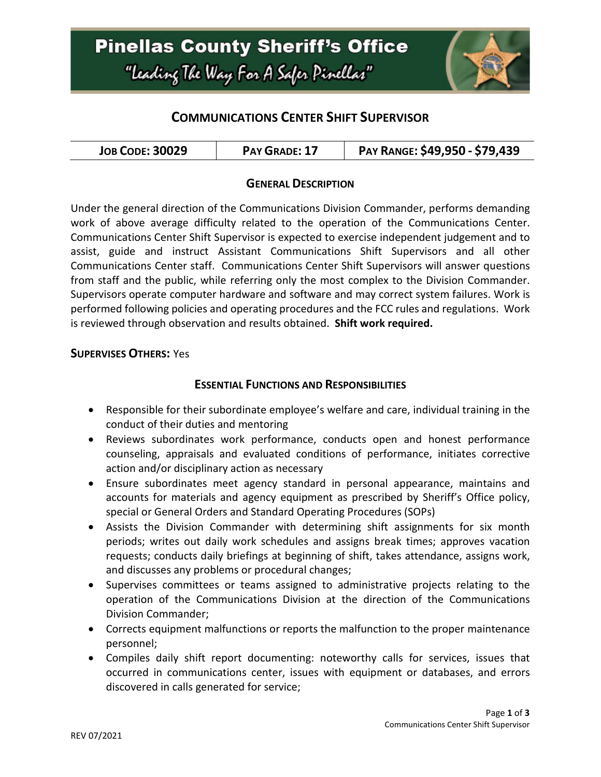

## **COMMUNICATIONS CENTER SHIFT SUPERVISOR**

| <b>JOB CODE: 30029</b> | PAY GRADE: 17 | PAY RANGE: \$49,950 - \$79,439 |
|------------------------|---------------|--------------------------------|
|------------------------|---------------|--------------------------------|

### **GENERAL DESCRIPTION**

Under the general direction of the Communications Division Commander, performs demanding work of above average difficulty related to the operation of the Communications Center. Communications Center Shift Supervisor is expected to exercise independent judgement and to assist, guide and instruct Assistant Communications Shift Supervisors and all other Communications Center staff. Communications Center Shift Supervisors will answer questions from staff and the public, while referring only the most complex to the Division Commander. Supervisors operate computer hardware and software and may correct system failures. Work is performed following policies and operating procedures and the FCC rules and regulations. Work is reviewed through observation and results obtained. **Shift work required.**

#### **SUPERVISES OTHERS:** Yes

### **ESSENTIAL FUNCTIONS AND RESPONSIBILITIES**

- Responsible for their subordinate employee's welfare and care, individual training in the conduct of their duties and mentoring
- Reviews subordinates work performance, conducts open and honest performance counseling, appraisals and evaluated conditions of performance, initiates corrective action and/or disciplinary action as necessary
- Ensure subordinates meet agency standard in personal appearance, maintains and accounts for materials and agency equipment as prescribed by Sheriff's Office policy, special or General Orders and Standard Operating Procedures (SOPs)
- Assists the Division Commander with determining shift assignments for six month periods; writes out daily work schedules and assigns break times; approves vacation requests; conducts daily briefings at beginning of shift, takes attendance, assigns work, and discusses any problems or procedural changes;
- Supervises committees or teams assigned to administrative projects relating to the operation of the Communications Division at the direction of the Communications Division Commander;
- Corrects equipment malfunctions or reports the malfunction to the proper maintenance personnel;
- Compiles daily shift report documenting: noteworthy calls for services, issues that occurred in communications center, issues with equipment or databases, and errors discovered in calls generated for service;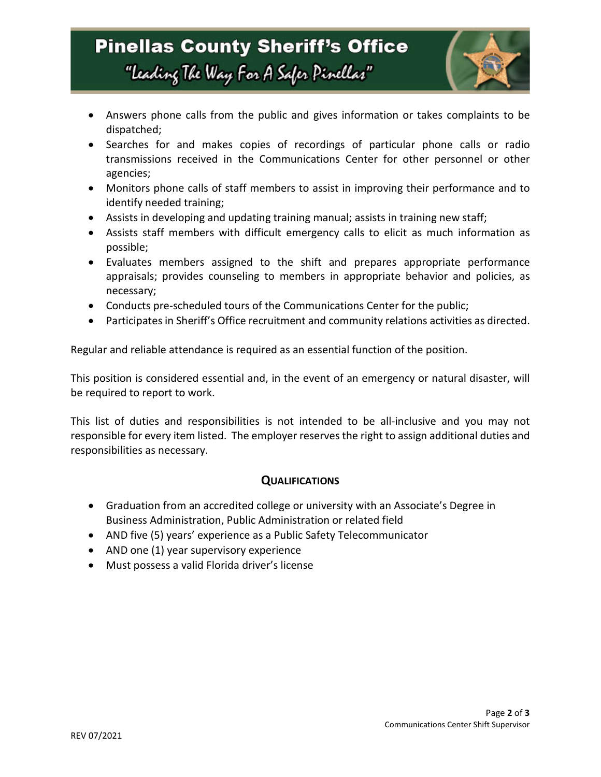# **Pinellas County Sheriff's Office** "Leading The Way For A Safer Pinellar"



- Answers phone calls from the public and gives information or takes complaints to be dispatched;
- Searches for and makes copies of recordings of particular phone calls or radio transmissions received in the Communications Center for other personnel or other agencies;
- Monitors phone calls of staff members to assist in improving their performance and to identify needed training;
- Assists in developing and updating training manual; assists in training new staff;
- Assists staff members with difficult emergency calls to elicit as much information as possible;
- Evaluates members assigned to the shift and prepares appropriate performance appraisals; provides counseling to members in appropriate behavior and policies, as necessary;
- Conducts pre-scheduled tours of the Communications Center for the public;
- Participates in Sheriff's Office recruitment and community relations activities as directed.

Regular and reliable attendance is required as an essential function of the position.

This position is considered essential and, in the event of an emergency or natural disaster, will be required to report to work.

This list of duties and responsibilities is not intended to be all-inclusive and you may not responsible for every item listed. The employer reserves the right to assign additional duties and responsibilities as necessary.

### **QUALIFICATIONS**

- Graduation from an accredited college or university with an Associate's Degree in Business Administration, Public Administration or related field
- AND five (5) years' experience as a Public Safety Telecommunicator
- AND one (1) year supervisory experience
- Must possess a valid Florida driver's license